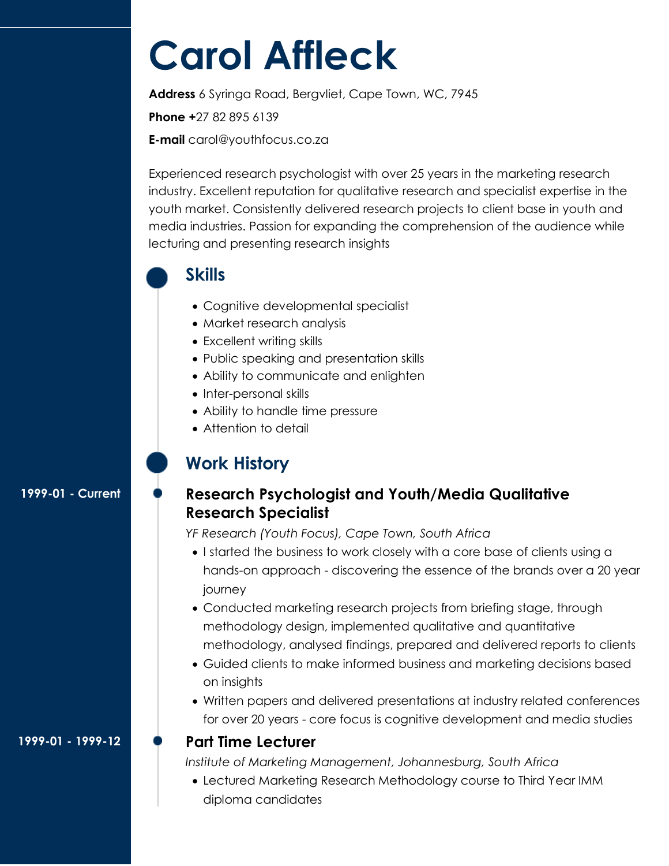# **Carol Affleck**

**Address** 6 Syringa Road, Bergvliet, Cape Town, WC, 7945 **Phone +**27 82 895 6139 **E-mail** carol@youthfocus.co.za

Experienced research psychologist with over 25 years in the marketing research industry. Excellent reputation for qualitative research and specialist expertise in the youth market. Consistently delivered research projects to client base in youth and media industries. Passion for expanding the comprehension of the audience while lecturing and presenting research insights



### **Skills**

- Cognitive developmental specialist
- Market research analysis
- Excellent writing skills
- Public speaking and presentation skills
- Ability to communicate and enlighten
- Inter-personal skills
- Ability to handle time pressure
- Attention to detail

# **Work History**

#### **1999-01 - Current**

## **Research Psychologist and Youth/Media Qualitative Research Specialist**

*YF Research (Youth Focus), Cape Town, South Africa* 

- I started the business to work closely with a core base of clients using a hands-on approach - discovering the essence of the brands over a 20 year journey
- Conducted marketing research projects from briefing stage, through methodology design, implemented qualitative and quantitative methodology, analysed findings, prepared and delivered reports to clients
- Guided clients to make informed business and marketing decisions based on insights
- Written papers and delivered presentations at industry related conferences for over 20 years - core focus is cognitive development and media studies

#### **Part Time Lecturer**

*Institute of Marketing Management, Johannesburg, South Africa* 

 Lectured Marketing Research Methodology course to Third Year IMM diploma candidates

**1999-01 - 1999-12**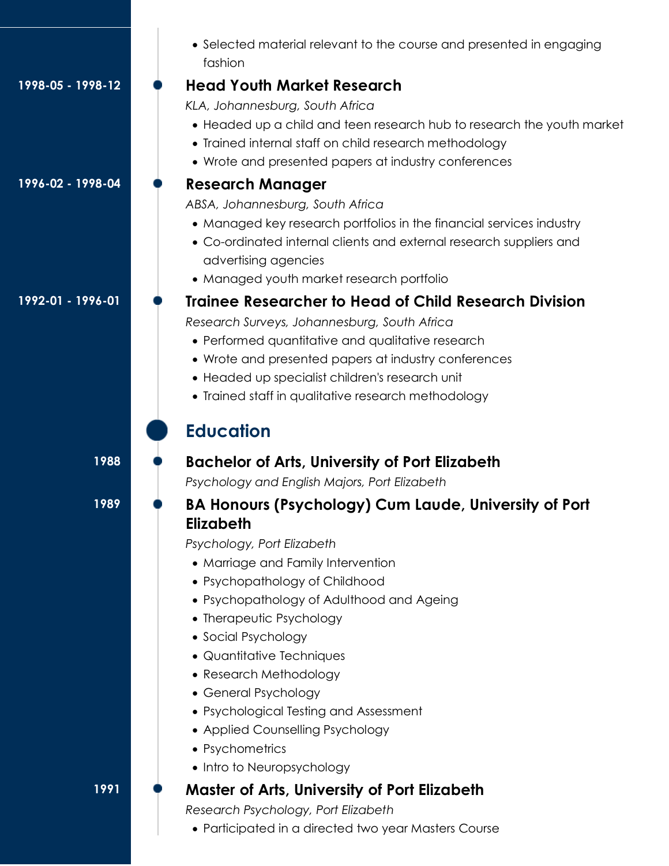|                   | • Selected material relevant to the course and presented in engaging<br>fashion                                                                                                                                                                                                                                                                                                                                                                                                                                                                |
|-------------------|------------------------------------------------------------------------------------------------------------------------------------------------------------------------------------------------------------------------------------------------------------------------------------------------------------------------------------------------------------------------------------------------------------------------------------------------------------------------------------------------------------------------------------------------|
| 1998-05 - 1998-12 | <b>Head Youth Market Research</b><br>KLA, Johannesburg, South Africa<br>• Headed up a child and teen research hub to research the youth market<br>• Trained internal staff on child research methodology<br>• Wrote and presented papers at industry conferences                                                                                                                                                                                                                                                                               |
| 1996-02 - 1998-04 | <b>Research Manager</b><br>ABSA, Johannesburg, South Africa<br>• Managed key research portfolios in the financial services industry<br>• Co-ordinated internal clients and external research suppliers and<br>advertising agencies<br>• Managed youth market research portfolio                                                                                                                                                                                                                                                                |
| 1992-01 - 1996-01 | <b>Trainee Researcher to Head of Child Research Division</b><br>Research Surveys, Johannesburg, South Africa<br>• Performed quantitative and qualitative research<br>• Wrote and presented papers at industry conferences<br>• Headed up specialist children's research unit<br>• Trained staff in qualitative research methodology<br><b>Education</b>                                                                                                                                                                                        |
| 1988              | <b>Bachelor of Arts, University of Port Elizabeth</b>                                                                                                                                                                                                                                                                                                                                                                                                                                                                                          |
| 1989              | Psychology and English Majors, Port Elizabeth<br>BA Honours (Psychology) Cum Laude, University of Port<br><b>Elizabeth</b><br>Psychology, Port Elizabeth<br>• Marriage and Family Intervention<br>• Psychopathology of Childhood<br>• Psychopathology of Adulthood and Ageing<br>• Therapeutic Psychology<br>• Social Psychology<br>• Quantitative Techniques<br>• Research Methodology<br>• General Psychology<br>• Psychological Testing and Assessment<br>• Applied Counselling Psychology<br>• Psychometrics<br>• Intro to Neuropsychology |
| 1991              | <b>Master of Arts, University of Port Elizabeth</b><br>Research Psychology, Port Elizabeth<br>• Participated in a directed two year Masters Course                                                                                                                                                                                                                                                                                                                                                                                             |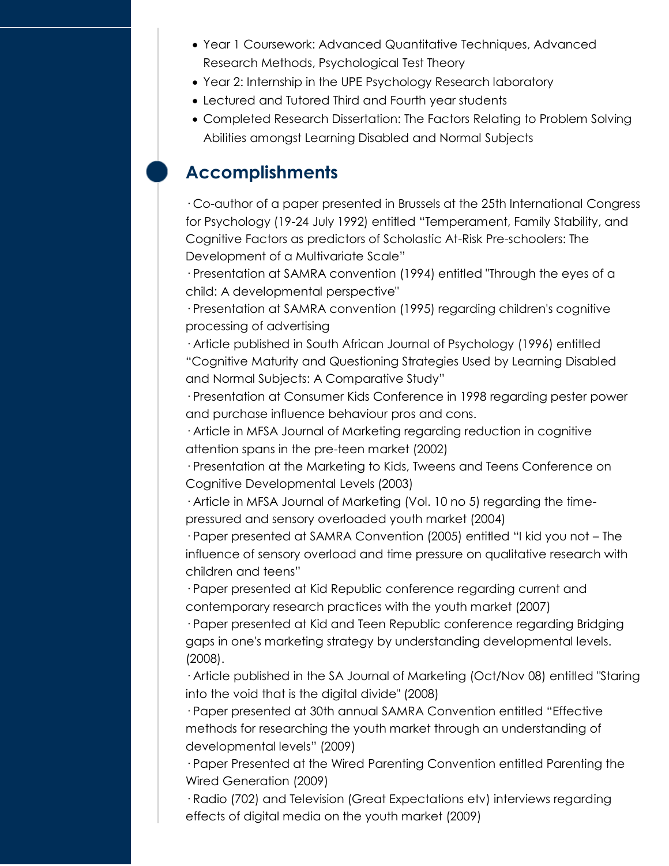- Year 1 Coursework: Advanced Quantitative Techniques, Advanced Research Methods, Psychological Test Theory
- Year 2: Internship in the UPE Psychology Research laboratory
- Lectured and Tutored Third and Fourth year students
- Completed Research Dissertation: The Factors Relating to Problem Solving Abilities amongst Learning Disabled and Normal Subjects

## **Accomplishments**

· Co-author of a paper presented in Brussels at the 25th International Congress for Psychology (19-24 July 1992) entitled "Temperament, Family Stability, and Cognitive Factors as predictors of Scholastic At-Risk Pre-schoolers: The Development of a Multivariate Scale"

· Presentation at SAMRA convention (1994) entitled "Through the eyes of a child: A developmental perspective"

· Presentation at SAMRA convention (1995) regarding children's cognitive processing of advertising

· Article published in South African Journal of Psychology (1996) entitled "Cognitive Maturity and Questioning Strategies Used by Learning Disabled and Normal Subjects: A Comparative Study"

· Presentation at Consumer Kids Conference in 1998 regarding pester power and purchase influence behaviour pros and cons.

· Article in MFSA Journal of Marketing regarding reduction in cognitive attention spans in the pre-teen market (2002)

· Presentation at the Marketing to Kids, Tweens and Teens Conference on Cognitive Developmental Levels (2003)

· Article in MFSA Journal of Marketing (Vol. 10 no 5) regarding the timepressured and sensory overloaded youth market (2004)

· Paper presented at SAMRA Convention (2005) entitled "I kid you not – The influence of sensory overload and time pressure on qualitative research with children and teens"

· Paper presented at Kid Republic conference regarding current and contemporary research practices with the youth market (2007)

· Paper presented at Kid and Teen Republic conference regarding Bridging gaps in one's marketing strategy by understanding developmental levels. (2008).

· Article published in the SA Journal of Marketing (Oct/Nov 08) entitled "Staring into the void that is the digital divide" (2008)

· Paper presented at 30th annual SAMRA Convention entitled "Effective methods for researching the youth market through an understanding of developmental levels" (2009)

· Paper Presented at the Wired Parenting Convention entitled Parenting the Wired Generation (2009)

· Radio (702) and Television (Great Expectations etv) interviews regarding effects of digital media on the youth market (2009)